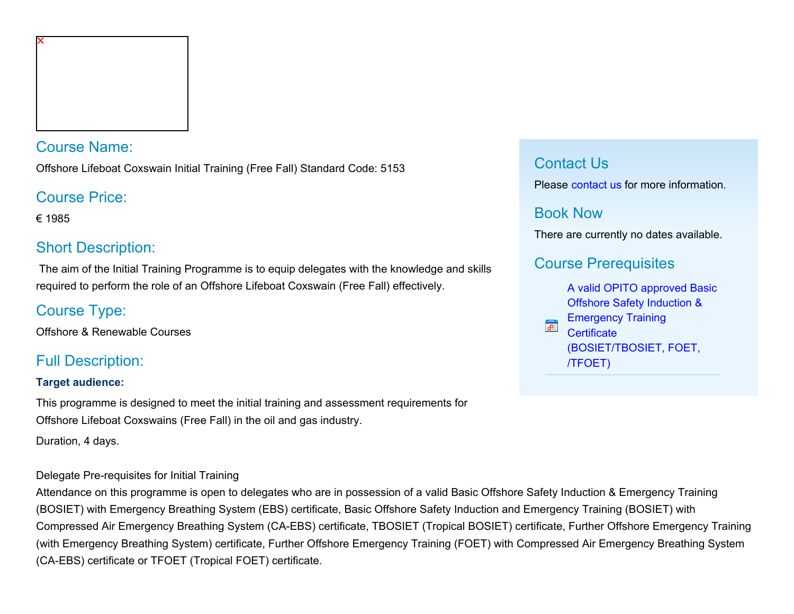### Course Name:

Offshore Lifeboat Coxswain Initial Training (Free Fall) Standard Code: 5153

## Course Price:

€ 1985

# Short Description:

 The aim of the Initial Training Programme is to equip delegates with the knowledge and skills required to perform the role of an Offshore Lifeboat Coxswain (Free Fall) effectively.

# Course Type:

Offshore & Renewable Courses

# Full Description:

#### **Target audience:**

This programme is designed to meet the initial training and assessment requirements for Offshore Lifeboat Coxswains (Free Fall) in the oil and gas industry.

Duration, 4 days.

#### Delegate Pre-requisites for Initial Training

Attendance on this programme is open to delegates who are in possession of a valid Basic Offshore Safety Induction & Emergency Training (BOSIET) with Emergency Breathing System (EBS) certificate, Basic Offshore Safety Induction and Emergency Training (BOSIET) with Compressed Air Emergency Breathing System (CA-EBS) certificate, TBOSIET (Tropical BOSIET) certificate, Further Offshore Emergency Training (with Emergency Breathing System) certificate, Further Offshore Emergency Training (FOET) with Compressed Air Emergency Breathing System (CA-EBS) certificate or TFOET (Tropical FOET) certificate.

## Contact Us

Please [contact us](https://www.nmci.ie/index.cfm/page/contactdetails/cid/48700046) for more information.

## Book Now

There are currently no dates available.

# Course Prerequisites

[A valid OPITO approved Basic](javascript:CommercialCourse.Prerequisites.PrerequisiteInfo( 48700046,1 )) [Offshore Safety Induction &](javascript:CommercialCourse.Prerequisites.PrerequisiteInfo( 48700046,1 )) [Emergency Training](javascript:CommercialCourse.Prerequisites.PrerequisiteInfo( 48700046,1 )) F **[Certificate](javascript:CommercialCourse.Prerequisites.PrerequisiteInfo( 48700046,1 ))** [\(BOSIET/TBOSIET, FOET,](javascript:CommercialCourse.Prerequisites.PrerequisiteInfo( 48700046,1 )) [/TFOET\)](javascript:CommercialCourse.Prerequisites.PrerequisiteInfo( 48700046,1 ))